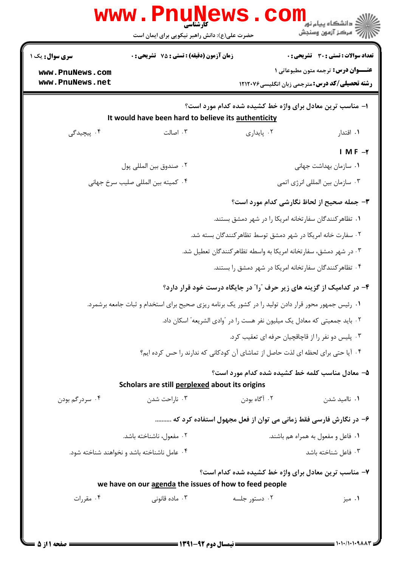| <b>سری سوال :</b> یک ۱                                         | زمان آزمون (دقیقه) : تستی : 75 تشریحی : 0                                                           |                                                                            | <b>تعداد سوالات : تستی : 30 ٪ تشریحی : 0</b> |
|----------------------------------------------------------------|-----------------------------------------------------------------------------------------------------|----------------------------------------------------------------------------|----------------------------------------------|
| www.PnuNews.com                                                |                                                                                                     |                                                                            | <b>عنــوان درس:</b> ترجمه متون مطبوعاتی 1    |
| www.PnuNews.net                                                |                                                                                                     | <b>رشته تحصیلی/کد درس:</b> مترجمی زبان انگلیسی1۲۱۲۰۷۶                      |                                              |
|                                                                |                                                                                                     | ا– مناسب ترین معادل برای واژه خط کشیده شده کدام مورد است؟                  |                                              |
|                                                                | It would have been hard to believe its authenticity                                                 |                                                                            |                                              |
| ۴. پیچیدگی                                                     | ۰۳ اصالت                                                                                            | ۰۲ پایداری                                                                 | ۰۱ اقتدار                                    |
|                                                                |                                                                                                     |                                                                            | I MF $-\tau$                                 |
|                                                                | ٠٢ صندوق بين المللي پول                                                                             |                                                                            | ۰۱ سازمان بهداشت جهانی                       |
|                                                                | ۰۴ کمیته بین المللی صلیب سرخ جهانی                                                                  |                                                                            | ۰۳ سازمان بين المللي انرژي اتمي              |
|                                                                |                                                                                                     | ۳- جمله صحیح از لحاظ نگارشی کدام مورد است؟                                 |                                              |
|                                                                |                                                                                                     | ۰۱ تظاهر کنندگان سفارتخانه امریکا را در شهر دمشق بستند.                    |                                              |
|                                                                |                                                                                                     | ۰۲ سفارت خانه امریکا در شهر دمشق توسط تظاهر کنندگان بسته شد.               |                                              |
|                                                                |                                                                                                     | ۰۳ در شهر دمشق، سفارتخانه امریکا به واسطه تظاهر کنندگان تعطیل شد.          |                                              |
|                                                                |                                                                                                     | ۰۴ تظاهر کنندگان سفارتخانه امریکا در شهر دمشق را بستند.                    |                                              |
|                                                                |                                                                                                     | ۴- در کدامیک از گزینه های زیر حرف آرا ًدر جایگاه درست خود قرار دارد؟       |                                              |
|                                                                | ۰۱ رئیس جمهور محور قرار دادن تولید را در کشور یک برنامه ریزی صحیح برای استخدام و ثبات جامعه برشمرد. |                                                                            |                                              |
|                                                                |                                                                                                     | ۲ . باید جمعیتی که معادل یک میلیون نفر هست را در آوادی الشریعه" اسکان داد. |                                              |
|                                                                |                                                                                                     | ۰۳ پلیس دو نفر را از قاچاقچیان حرفه ای تعقیب کرد.                          |                                              |
|                                                                | ۰۴ آیا حتی برای لحظه ای لذت حاصل از تماشای آن کودکانی که ندارند را حس کرده ایم؟                     |                                                                            |                                              |
|                                                                |                                                                                                     | ۵- معادل مناسب کلمه خط کشیده شده کدام مورد است؟                            |                                              |
|                                                                | Scholars are still perplexed about its origins                                                      |                                                                            |                                              |
| ۰۴ سردرگم بودن                                                 | ۰۳ ناراحت شدن                                                                                       | ۰۲ آگاه بودن                                                               | ۰۱ ناامید شدن                                |
|                                                                | ۶– در نگارش فارسی فقط زمانی می توان از فعل مجهول استفاده کرد که                                     |                                                                            |                                              |
| ۰۲ مفعول، ناشناخته باشد.<br>۰۱ فاعل و مفعول به همراه هم باشند. |                                                                                                     |                                                                            |                                              |
|                                                                | ۰۴ عامل ناشناخته باشد و نخواهند شناخته شود.                                                         |                                                                            | ۰۳ فاعل شناخته باشد                          |
|                                                                |                                                                                                     | ۷- مناسب ترین معادل برای واژه خط کشیده شده کدام است؟                       |                                              |
|                                                                | we have on our agenda the issues of how to feed people                                              |                                                                            |                                              |
| ۰۴ مقررات                                                      | ۰۳ ماده قانونی                                                                                      | ۰۲ دستور جلسه                                                              | ۰۱ میز                                       |

 $= 1.1.11.1.9$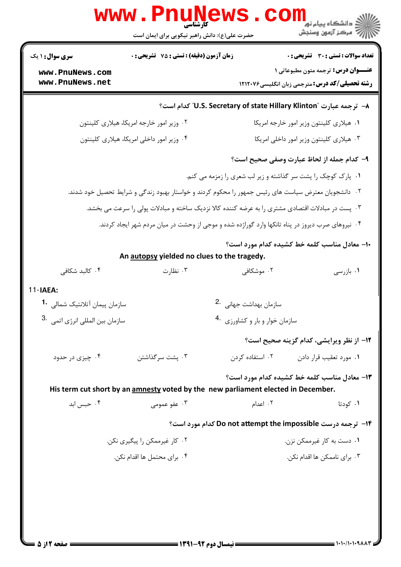|                                                                                                   | WWW.Pnuw<br>حضرت علی(ع): دانش راهبر نیکویی برای ایمان است                                                        |                                                              | ڪ دانشڪاه پيام نو <mark>ر</mark><br>و7 مرڪز آزمون وسنڊش                                           |
|---------------------------------------------------------------------------------------------------|------------------------------------------------------------------------------------------------------------------|--------------------------------------------------------------|---------------------------------------------------------------------------------------------------|
| <b>سری سوال : ۱ یک</b>                                                                            | زمان آزمون (دقیقه) : تستی : 75 تشریحی : 0                                                                        |                                                              | <b>تعداد سوالات : تستی : 30 ٪ تشریحی : 0</b>                                                      |
| www.PnuNews.com<br>www.PnuNews.net                                                                |                                                                                                                  |                                                              | <b>عنــوان درس:</b> ترجمه متون مطبوعاتی ۱<br><b>رشته تحصیلی/کد درس:</b> مترجمی زبان انگلیسی۲۱۲۰۷۶ |
|                                                                                                   |                                                                                                                  | است؟ الـ "U.S. Secretary of state Hillary Klinton" كدام است" |                                                                                                   |
|                                                                                                   | ۰۲ وزیر امور خارجه امریکا، هیلاری کلینتون                                                                        |                                                              | ٠١ هيلاري كلينتون وزير امور خارجه امريكا                                                          |
|                                                                                                   | ۰۴ وزیر امور داخلی امریکا، هیلاری کلینتون                                                                        |                                                              | ٠٣ هيلاري كلينتون وزير امور داخلي امريكا                                                          |
|                                                                                                   |                                                                                                                  | ٩- كدام جمله از لحاظ عبارت وصفى صحيح است؟                    |                                                                                                   |
|                                                                                                   |                                                                                                                  | ۰۱ پارک کوچک را پشت سر گذاشته و زیر لب شعری را زمزمه می کنم. |                                                                                                   |
|                                                                                                   | <sup>۲</sup> ۰ دانشجویان معترض سیاست های رئیس جمهور را محکوم کردند و خواستار بهبود زندگی و شرایط تحصیل خود شدند. |                                                              |                                                                                                   |
| ۰۳ پست در مبادلات اقتصادی مشتری را به عرضه کننده کالا نزدیک ساخته و مبادلات پولی را سرعت می بخشد. |                                                                                                                  |                                                              |                                                                                                   |
| ۰۴ نیروهای صرب دیروز در پناه تانکها وارد گوراژده شده و موجی از وحشت در میان مردم شهر ایجاد کردند. |                                                                                                                  |                                                              |                                                                                                   |
| ۱۰– معادل مناسب کلمه خط کشیده کدام مورد است؟<br>An autopsy yielded no clues to the tragedy.       |                                                                                                                  |                                                              |                                                                                                   |
| ۰۴ کالبد شکافی                                                                                    | ۰۳ نظارت                                                                                                         | ۰۲ موشکافی                                                   | ۰۱ بازرسی                                                                                         |
| $11$ -IAEA:                                                                                       |                                                                                                                  |                                                              |                                                                                                   |
| سازمان پیمان آتلانتیک شمالی <b>1</b> ۰                                                            |                                                                                                                  | سازمان بهداشت جهانی 2.                                       |                                                                                                   |
| سازمان بين المللي انرژي اتمي .3                                                                   |                                                                                                                  | سازمان خوار و بار و کشاورزی 4.                               |                                                                                                   |
|                                                                                                   |                                                                                                                  |                                                              | ١٢- از نظر ويرايشي، كدام گزينه صحيح است؟                                                          |
| ۰۴ چیزی در حدود                                                                                   | ۰۳ پشت سر گذاشتن                                                                                                 | ۰۲ استفاده کردن                                              | ۰۱ مورد تعقیب قرار دادن                                                                           |
|                                                                                                   | His term cut short by an amnesty voted by the new parliament elected in December.                                | 1۳- معادل مناسب کلمه خط کشیده کدام مورد است؟                 |                                                                                                   |
| ۰۴ حبس ابد                                                                                        | ۰۳ عفو عمومی                                                                                                     | ۰۲ اعدام                                                     | ۰۱ کودتا                                                                                          |
|                                                                                                   |                                                                                                                  | ۱۴- ترجمه درست Do not attempt the impossible کدام مورد است؟  |                                                                                                   |
|                                                                                                   | ۰۲ کار غیرممکن را پیگیری نکن.                                                                                    |                                                              | ۰۱ دست به کار غیرممکن نزن.                                                                        |
|                                                                                                   | ۰۴ برای محتمل ها اقدام نکن.                                                                                      |                                                              | ۰۳ برای ناممکن ها اقدام نکن.                                                                      |
|                                                                                                   |                                                                                                                  |                                                              |                                                                                                   |

**D**nuMawa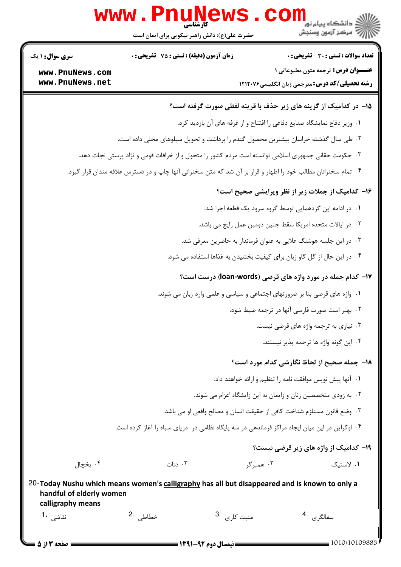|                                               | www.PnuNews.<br>حضرت علی(ع): دانش راهبر نیکویی برای ایمان است                                                 |                                      | کے دانشگاہ پیام نور<br>آگ مرکز آزمون وسنجش<br>آگ مرکز آزمون وسنجش                            |
|-----------------------------------------------|---------------------------------------------------------------------------------------------------------------|--------------------------------------|----------------------------------------------------------------------------------------------|
| <b>سری سوال : ۱ یک</b>                        | <b>زمان آزمون (دقیقه) : تستی : 75 تشریحی : 0</b>                                                              |                                      | <b>تعداد سوالات : تستی : 30 ٪ تشریحی : 0</b>                                                 |
| www.PnuNews.com<br>www.PnuNews.net            |                                                                                                               |                                      | <b>عنــوان درس:</b> ترجمه متون مطبوعاتی 1<br>رشته تحصیلی/کد درس: مترجمی زبان انگلیسی ۱۲۱۲۰۷۶ |
|                                               |                                                                                                               |                                      | 1۵- در کدامیک از گزینه های زیر حذف با قرینه لفظی صورت گرفته است؟                             |
|                                               |                                                                                                               |                                      | ١. وزير دفاع نمايشگاه صنايع دفاعي را افتتاح و از غرفه هاي آن بازديد كرد.                     |
|                                               | ۰۲ طی سال گذشته خراسان بیشترین محصول گندم را برداشت و تحویل سیلوهای محلی داده است.                            |                                      |                                                                                              |
|                                               | ۰۳ حکومت حقانی جمهوری اسلامی توانسته است مردم کشور را متحول و از خرافات قومی و نژاد پرستی نجات دهد.           |                                      |                                                                                              |
|                                               | ۰۴ تمام سخنرانان مطالب خود را اظهار و قرار بر آن شد که متن سخنرانی آنها چاپ و در دسترس علاقه مندان قرار گیرد. |                                      |                                                                                              |
|                                               |                                                                                                               |                                      | ۱۶- کدامیک از جملات زیر از نظر ویرایشی صحیح است؟                                             |
|                                               |                                                                                                               |                                      | ۰۱ در ادامه این گردهمایی توسط گروه سرود یک قطعه اجرا شد.                                     |
|                                               |                                                                                                               |                                      | ۰۲ در ایالات متحده امریکا سقط جنین دومین عمل رایج می باشد.                                   |
|                                               |                                                                                                               |                                      | ۰۳ در این جلسه هوشنگ علایی به عنوان فرماندار به حاضرین معرفی شد.                             |
|                                               |                                                                                                               |                                      | ۰۴ در این حال از گل گاو زبان برای کیفیت بخشیدن به غذاها استفاده می شود.                      |
|                                               |                                                                                                               |                                      | ۱۷- کدام جمله در مورد واژه های قرضی (loan-words) درست است؟                                   |
|                                               |                                                                                                               |                                      | ۰۱ واژه های قرضی بنا بر ضرورتهای اجتماعی و سیاسی و علمی وارد زبان می شوند.                   |
|                                               |                                                                                                               |                                      | ٢. بهتر است صورت فارسي آنها در ترجمه ضبط شود.                                                |
|                                               |                                                                                                               |                                      | ۰۳ نیازی به ترجمه واژه های قرضی نیست.                                                        |
|                                               |                                                                                                               |                                      | ۴. این گونه واژه ها ترجمه یذیر نیستند.                                                       |
|                                               |                                                                                                               |                                      | 18− جمله صحیح از لحاظ نگارشی کدام مورد است؟                                                  |
|                                               |                                                                                                               |                                      | ٠١. آنها پیش نویس موافقت نامه را تنظیم و ارائه خواهند داد.                                   |
|                                               |                                                                                                               |                                      | ۰۲ به زودی متخصصین زنان و زایمان به این زایشگاه اعزام می شوند.                               |
|                                               |                                                                                                               |                                      | ٣. وضع قانون مستلزم شناخت كافي از حقيقت انسان و مصالح واقعي او مي باشد.                      |
|                                               | ۰۴ اوکراین در این میان ایجاد مراکز فرماندهی در سه پایگاه نظامی در دریای سیاه را آغاز کرده است.                |                                      |                                                                                              |
|                                               |                                                                                                               |                                      | <b>۱۹- کدامیک از واژه های زیر قرضی نیست؟</b>                                                 |
| ۰۴ يخچال                                      | دنات $\cdot$                                                                                                  | ۰۲ همبرگر                            | ۰۱ لاستیک                                                                                    |
| handful of elderly women<br>calligraphy means | 20-Today Nushu which means women's calligraphy has all but disappeared and is known to only a                 |                                      |                                                                                              |
| نقاشے <sub>،</sub> -1                         | خطاطے <sub>،</sub> .2                                                                                         | منبت کا <sub>د</sub> ی۔ <sup>3</sup> | سفالگر ی . <sup>4</sup>                                                                      |

 $1010/10109883$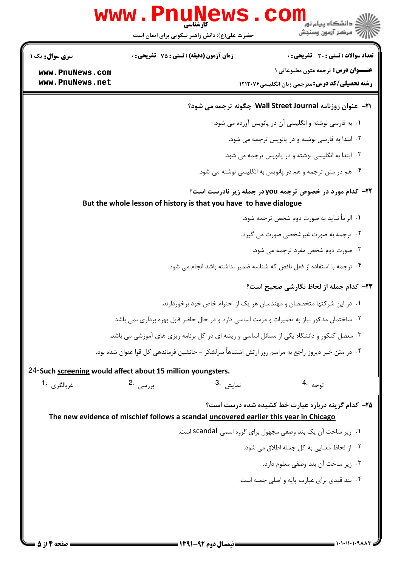|                                | www.PnuNews                                                                                         | د انشکاه پیام نور<br>دانشگاه پیام نور                                   |
|--------------------------------|-----------------------------------------------------------------------------------------------------|-------------------------------------------------------------------------|
|                                | حضرت علی(ع): دانش راهبر نیکویی برای ایمان است                                                       | رآ مرکز آزمون وسنجش                                                     |
| سری سوال: یک ۱                 | <b>زمان آزمون (دقیقه) : تستی : 75 تشریحی: 0</b>                                                     | تعداد سوالات : تستى : 30 - تشريحي : 0                                   |
| www.PnuNews.com                |                                                                                                     | <b>عنــوان درس:</b> ترجمه متون مطبوعاتی 1                               |
| www.PnuNews.net                |                                                                                                     | <b>رشته تحصیلی/کد درس:</b> مترجمی زبان انگلیسی۲۱۲۰۷۶                    |
|                                |                                                                                                     | 21- عنوان روزنامه Wall Street Journal چگونه ترجمه می شود؟               |
|                                |                                                                                                     | ۰۱ به فارسی نوشته و انگلیسی آن در پانویس آورده می شود.                  |
|                                |                                                                                                     | ۰۲ ابتدا به فارسی نوشته و در پانویس ترجمه می شود.                       |
|                                |                                                                                                     | ۰۳ ابتدا به انگلیسی نوشته و در پانویس ترجمه می شود.                     |
|                                |                                                                                                     | ۰۴ هم در متن ترجمه و هم در پانویس به انگلیسی نوشته می شود.              |
|                                | But the whole lesson of history is that you have to have dialogue                                   | <b>۲۲- کدام مورد در خصوص ترجمه you در جمله زیر نادرست است؟</b>          |
|                                |                                                                                                     | ٠١. الزامأ نبايد به صورت دوم شخص ترجمه شود.                             |
|                                |                                                                                                     | ۰۲ ترجمه به صورت غیرشخصی صورت می گیرد.                                  |
|                                |                                                                                                     | ۰۳ صورت دوم شخص مفرد ترجمه می شود.                                      |
|                                |                                                                                                     | ۰۴ ترجمه با استفاده از فعل ناقص که شناسه ضمیر نداشته باشد انجام می شود. |
|                                |                                                                                                     | ٢٣- كدام جمله از لحاظ نگارشي صحيح است؟                                  |
|                                |                                                                                                     | ۰۱ در این شرکتها متخصصان و مهندسان هر یک از احترام خاص خود برخوردارند.  |
|                                | ۲ . ساختمان مذکور نیاز به تعمیرات و مرمت اساسی دارد و در حال حاضر قابل بهره برداری نمی باشد.        |                                                                         |
|                                | ۰۳ معضل کنکور و دانشگاه یکی از مسائل اساسی و ریشه ای در کل برنامه ریزی های آموزشی می باشد.          |                                                                         |
|                                | ۴ . در متن خبر دیروز راجع به مراسم روز ارتش اشتباهاً سرلشکر – جانشین فرماندهی کل قوا عنوان شده بود. |                                                                         |
|                                | 24-Such screening would affect about 15 million youngsters.                                         |                                                                         |
| غ <sub>ربالگري</sub> <b>1.</b> | نمايش <sup>.3</sup><br>بررسى   .2                                                                   | توجه <sup>.4</sup>                                                      |
|                                | The new evidence of mischief follows a scandal uncovered earlier this year in Chicago               | ۲۵- کدام گزینه درباره عبارت خط کشیده شده درست است؟                      |
|                                |                                                                                                     | ۰۱ زیر ساخت آن یک بند وصفی مجهول برای گروه اسمی scandal است.            |
|                                |                                                                                                     | ٢. از لحاظ معنايي به كل جمله اطلاق مي شود.                              |
|                                |                                                                                                     | ۰۳ زیر ساخت آن بند وصفی معلوم دارد.                                     |
|                                |                                                                                                     | ۰۴ بند قیدی برای عبارت پایه و اصلی جمله است.                            |
|                                |                                                                                                     |                                                                         |
|                                |                                                                                                     |                                                                         |
|                                |                                                                                                     |                                                                         |